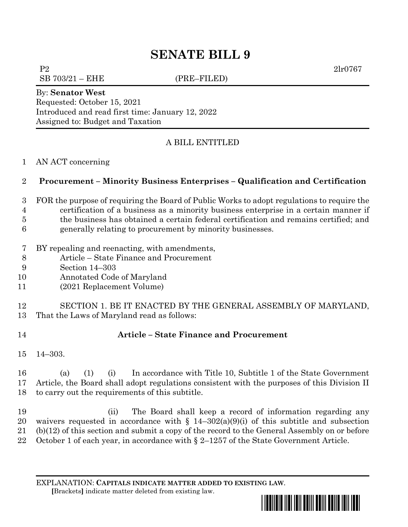# **SENATE BILL 9**

P2 2lr0767

 $SB 703/21 - EHE$  (PRE–FILED)

## By: **Senator West** Requested: October 15, 2021

Introduced and read first time: January 12, 2022 Assigned to: Budget and Taxation

## A BILL ENTITLED

#### AN ACT concerning

## **Procurement – Minority Business Enterprises – Qualification and Certification**

- FOR the purpose of requiring the Board of Public Works to adopt regulations to require the
- certification of a business as a minority business enterprise in a certain manner if the business has obtained a certain federal certification and remains certified; and
- generally relating to procurement by minority businesses.
- BY repealing and reenacting, with amendments,
- Article State Finance and Procurement
- Section 14–303
- Annotated Code of Maryland
- (2021 Replacement Volume)

 SECTION 1. BE IT ENACTED BY THE GENERAL ASSEMBLY OF MARYLAND, That the Laws of Maryland read as follows:

## **Article – State Finance and Procurement**

14–303.

 (a) (1) (i) In accordance with Title 10, Subtitle 1 of the State Government Article, the Board shall adopt regulations consistent with the purposes of this Division II to carry out the requirements of this subtitle.

 (ii) The Board shall keep a record of information regarding any 20 waivers requested in accordance with  $\S$  14–302(a)(9)(i) of this subtitle and subsection (b)(12) of this section and submit a copy of the record to the General Assembly on or before 22 October 1 of each year, in accordance with § 2–1257 of the State Government Article.

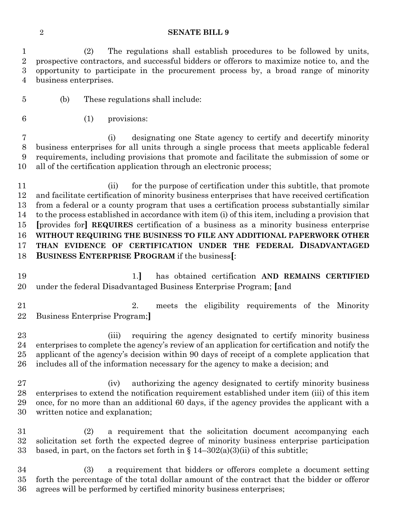#### **SENATE BILL 9**

 (2) The regulations shall establish procedures to be followed by units, prospective contractors, and successful bidders or offerors to maximize notice to, and the opportunity to participate in the procurement process by, a broad range of minority business enterprises.

(b) These regulations shall include:

(1) provisions:

 (i) designating one State agency to certify and decertify minority business enterprises for all units through a single process that meets applicable federal requirements, including provisions that promote and facilitate the submission of some or all of the certification application through an electronic process;

11 (ii) for the purpose of certification under this subtitle, that promote and facilitate certification of minority business enterprises that have received certification from a federal or a county program that uses a certification process substantially similar to the process established in accordance with item (i) of this item, including a provision that **[**provides for**] REQUIRES** certification of a business as a minority business enterprise **WITHOUT REQUIRING THE BUSINESS TO FILE ANY ADDITIONAL PAPERWORK OTHER THAN EVIDENCE OF CERTIFICATION UNDER THE FEDERAL DISADVANTAGED BUSINESS ENTERPRISE PROGRAM** if the business**[**:

- 1.**]** has obtained certification **AND REMAINS CERTIFIED**  under the federal Disadvantaged Business Enterprise Program; **[**and
- 2. meets the eligibility requirements of the Minority Business Enterprise Program;**]**

 (iii) requiring the agency designated to certify minority business enterprises to complete the agency's review of an application for certification and notify the applicant of the agency's decision within 90 days of receipt of a complete application that includes all of the information necessary for the agency to make a decision; and

 (iv) authorizing the agency designated to certify minority business enterprises to extend the notification requirement established under item (iii) of this item once, for no more than an additional 60 days, if the agency provides the applicant with a written notice and explanation;

 (2) a requirement that the solicitation document accompanying each solicitation set forth the expected degree of minority business enterprise participation 33 based, in part, on the factors set forth in  $\S 14-302(a)(3)(ii)$  of this subtitle;

 (3) a requirement that bidders or offerors complete a document setting forth the percentage of the total dollar amount of the contract that the bidder or offeror agrees will be performed by certified minority business enterprises;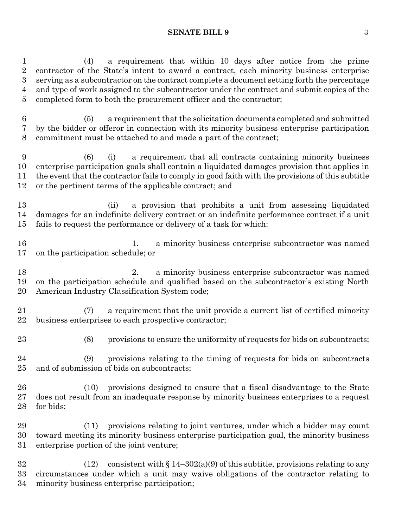#### **SENATE BILL 9** 3

 (4) a requirement that within 10 days after notice from the prime contractor of the State's intent to award a contract, each minority business enterprise serving as a subcontractor on the contract complete a document setting forth the percentage and type of work assigned to the subcontractor under the contract and submit copies of the completed form to both the procurement officer and the contractor;

 (5) a requirement that the solicitation documents completed and submitted by the bidder or offeror in connection with its minority business enterprise participation commitment must be attached to and made a part of the contract;

 (6) (i) a requirement that all contracts containing minority business enterprise participation goals shall contain a liquidated damages provision that applies in the event that the contractor fails to comply in good faith with the provisions of this subtitle or the pertinent terms of the applicable contract; and

 (ii) a provision that prohibits a unit from assessing liquidated damages for an indefinite delivery contract or an indefinite performance contract if a unit fails to request the performance or delivery of a task for which:

 1. a minority business enterprise subcontractor was named on the participation schedule; or

 2. a minority business enterprise subcontractor was named on the participation schedule and qualified based on the subcontractor's existing North American Industry Classification System code;

 (7) a requirement that the unit provide a current list of certified minority business enterprises to each prospective contractor;

(8) provisions to ensure the uniformity of requests for bids on subcontracts;

 (9) provisions relating to the timing of requests for bids on subcontracts and of submission of bids on subcontracts;

 (10) provisions designed to ensure that a fiscal disadvantage to the State does not result from an inadequate response by minority business enterprises to a request for bids;

 (11) provisions relating to joint ventures, under which a bidder may count toward meeting its minority business enterprise participation goal, the minority business enterprise portion of the joint venture;

32 (12) consistent with  $\S 14-302(a)(9)$  of this subtitle, provisions relating to any circumstances under which a unit may waive obligations of the contractor relating to minority business enterprise participation;